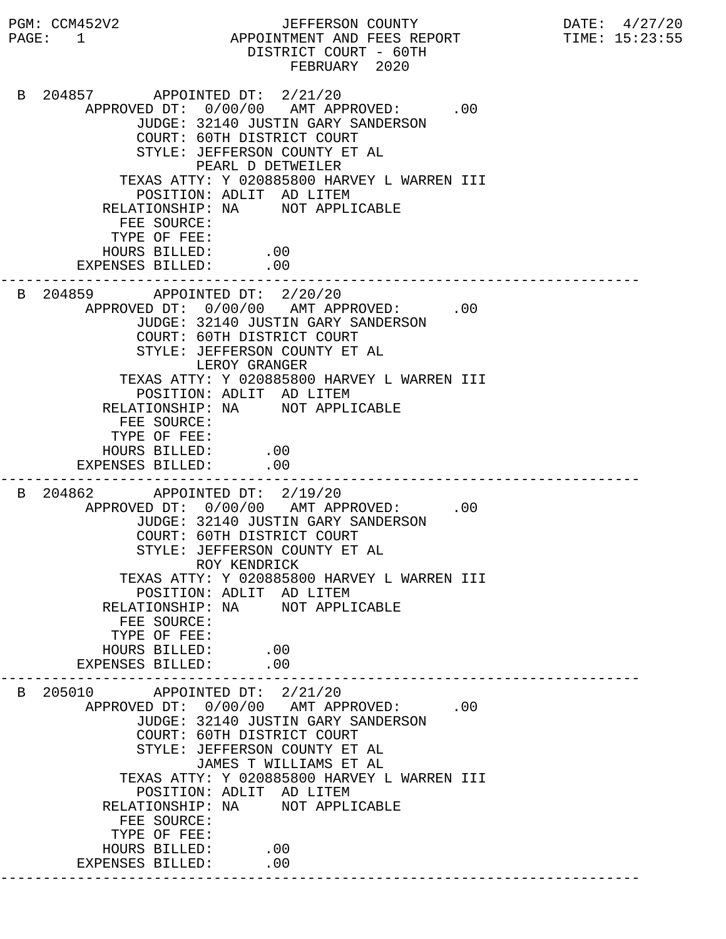PGM: CCM452V2 JEFFERSON COUNTY DATE: 4/27/20 PAGE: 1 APPOINTMENT AND FEES REPORT TIME: 15:23:55 DISTRICT COURT - 60TH FEBRUARY 2020 B 204857 APPOINTED DT: 2/21/20 APPROVED DT:  $0/00/00$  AMT APPROVED: .00 JUDGE: 32140 JUSTIN GARY SANDERSON COURT: 60TH DISTRICT COURT STYLE: JEFFERSON COUNTY ET AL PEARL D DETWEILER TEXAS ATTY: Y 020885800 HARVEY L WARREN III POSITION: ADLIT AD LITEM RELATIONSHIP: NA NOT APPLICABLE FEE SOURCE: TYPE OF FEE: HOURS BILLED: .00 EXPENSES BILLED: .00 --------------------------------------------------------------------------- B 204859 APPOINTED DT: 2/20/20 APPROVED DT:  $0/00/00$  AMT APPROVED: .00 JUDGE: 32140 JUSTIN GARY SANDERSON COURT: 60TH DISTRICT COURT STYLE: JEFFERSON COUNTY ET AL LEROY GRANGER TEXAS ATTY: Y 020885800 HARVEY L WARREN III POSITION: ADLIT AD LITEM RELATIONSHIP: NA NOT APPLICABLE FEE SOURCE: TYPE OF FEE: HOURS BILLED: .00 EXPENSES BILLED: .00 --------------------------------------------------------------------------- B 204862 APPOINTED DT: 2/19/20 APPROVED DT:  $0/00/00$  AMT APPROVED: .00 JUDGE: 32140 JUSTIN GARY SANDERSON COURT: 60TH DISTRICT COURT STYLE: JEFFERSON COUNTY ET AL ROY KENDRICK TEXAS ATTY: Y 020885800 HARVEY L WARREN III POSITION: ADLIT AD LITEM RELATIONSHIP: NA NOT APPLICABLE FEE SOURCE: TYPE OF FEE: HOURS BILLED: .00<br>ENSES BILLED: .00 EXPENSES BILLED: --------------------------------------------------------------------------- B 205010 APPOINTED DT: 2/21/20 APPROVED DT:  $0/00/00$  AMT APPROVED: .00 JUDGE: 32140 JUSTIN GARY SANDERSON COURT: 60TH DISTRICT COURT STYLE: JEFFERSON COUNTY ET AL JAMES T WILLIAMS ET AL TEXAS ATTY: Y 020885800 HARVEY L WARREN III POSITION: ADLIT AD LITEM RELATIONSHIP: NA NOT APPLICABLE FEE SOURCE: TYPE OF FEE: HOURS BILLED: .00 EXPENSES BILLED: .00 ---------------------------------------------------------------------------